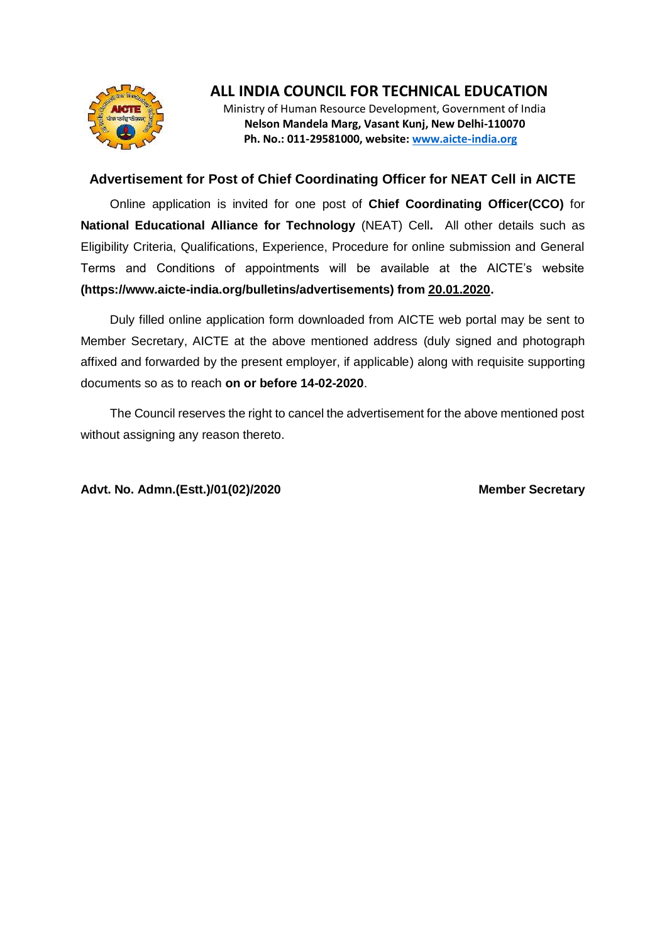

# **ALL INDIA COUNCIL FOR TECHNICAL EDUCATION**

Ministry of Human Resource Development, Government of India **Nelson Mandela Marg, Vasant Kunj, New Delhi-110070 Ph. No.: 011-29581000, website: [www.aicte-india.org](http://www.aicte-india.org/)**

### **Advertisement for Post of Chief Coordinating Officer for NEAT Cell in AICTE**

Online application is invited for one post of **Chief Coordinating Officer(CCO)** for **National Educational Alliance for Technology** (NEAT) Cell**.** All other details such as Eligibility Criteria, Qualifications, Experience, Procedure for online submission and General Terms and Conditions of appointments will be available at the AICTE's website **(https://www.aicte-india.org/bulletins/advertisements) from 20.01.2020.** 

Duly filled online application form downloaded from AICTE web portal may be sent to Member Secretary, AICTE at the above mentioned address (duly signed and photograph affixed and forwarded by the present employer, if applicable) along with requisite supporting documents so as to reach **on or before 14-02-2020**.

The Council reserves the right to cancel the advertisement for the above mentioned post without assigning any reason thereto.

Advt. No. Admn.(Estt.)/01(02)/2020 Member Secretary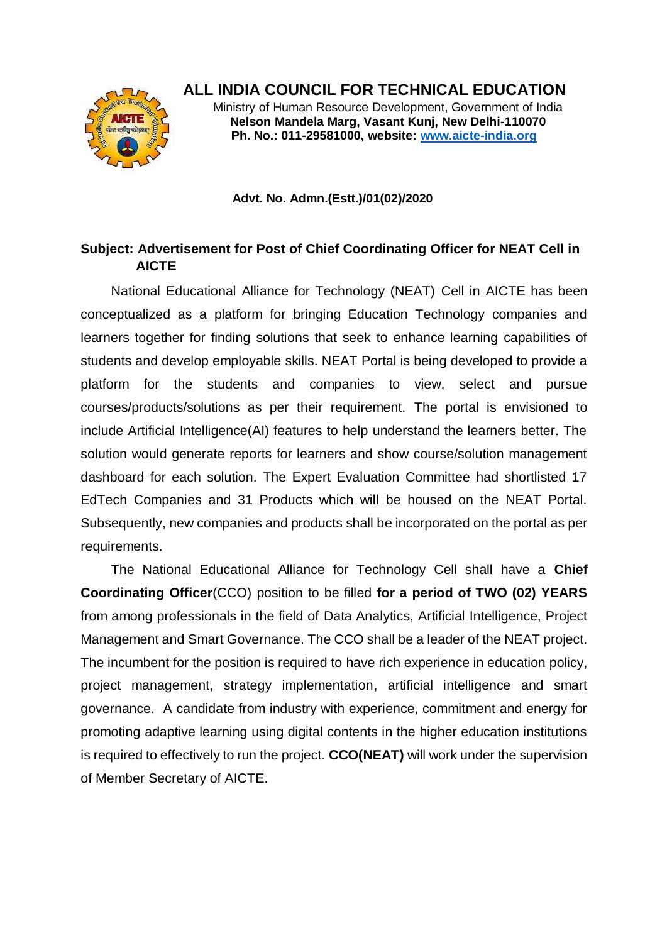

**ALL INDIA COUNCIL FOR TECHNICAL EDUCATION**

Ministry of Human Resource Development, Government of India **Nelson Mandela Marg, Vasant Kunj, New Delhi-110070 Ph. No.: 011-29581000, website: [www.aicte-india.org](http://www.aicte-india.org/)**

### **Advt. No. Admn.(Estt.)/01(02)/2020**

### **Subject: Advertisement for Post of Chief Coordinating Officer for NEAT Cell in AICTE**

National Educational Alliance for Technology (NEAT) Cell in AICTE has been conceptualized as a platform for bringing Education Technology companies and learners together for finding solutions that seek to enhance learning capabilities of students and develop employable skills. NEAT Portal is being developed to provide a platform for the students and companies to view, select and pursue courses/products/solutions as per their requirement. The portal is envisioned to include Artificial Intelligence(AI) features to help understand the learners better. The solution would generate reports for learners and show course/solution management dashboard for each solution. The Expert Evaluation Committee had shortlisted 17 EdTech Companies and 31 Products which will be housed on the NEAT Portal. Subsequently, new companies and products shall be incorporated on the portal as per requirements.

The National Educational Alliance for Technology Cell shall have a **Chief Coordinating Officer**(CCO) position to be filled **for a period of TWO (02) YEARS** from among professionals in the field of Data Analytics, Artificial Intelligence, Project Management and Smart Governance. The CCO shall be a leader of the NEAT project. The incumbent for the position is required to have rich experience in education policy, project management, strategy implementation, artificial intelligence and smart governance. A candidate from industry with experience, commitment and energy for promoting adaptive learning using digital contents in the higher education institutions is required to effectively to run the project. **CCO(NEAT)** will work under the supervision of Member Secretary of AICTE.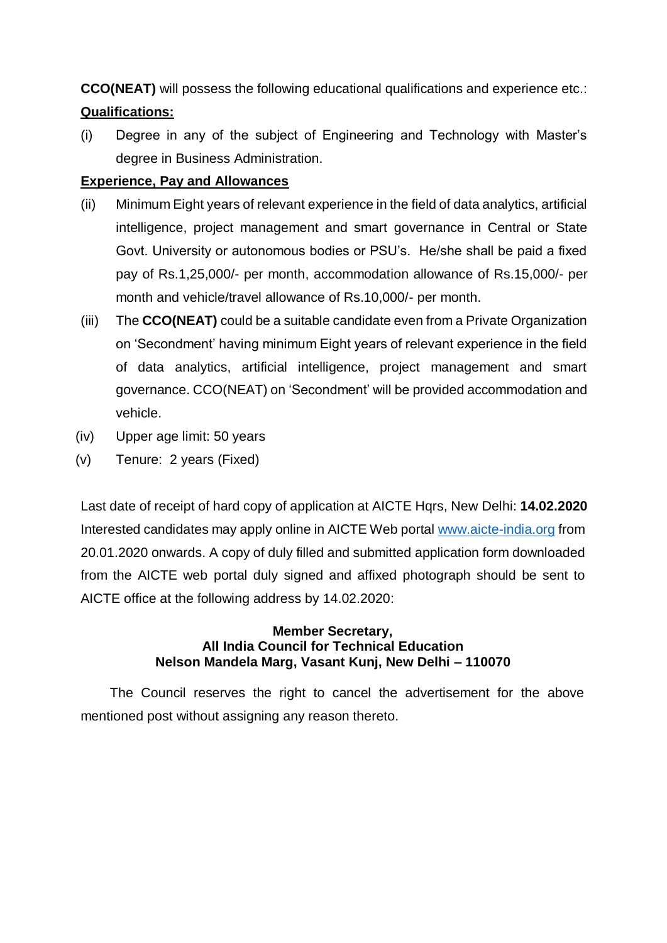**CCO(NEAT)** will possess the following educational qualifications and experience etc.: **Qualifications:**

(i) Degree in any of the subject of Engineering and Technology with Master's degree in Business Administration.

## **Experience, Pay and Allowances**

- (ii) Minimum Eight years of relevant experience in the field of data analytics, artificial intelligence, project management and smart governance in Central or State Govt. University or autonomous bodies or PSU's. He/she shall be paid a fixed pay of Rs.1,25,000/- per month, accommodation allowance of Rs.15,000/- per month and vehicle/travel allowance of Rs.10,000/- per month.
- (iii) The **CCO(NEAT)** could be a suitable candidate even from a Private Organization on 'Secondment' having minimum Eight years of relevant experience in the field of data analytics, artificial intelligence, project management and smart governance. CCO(NEAT) on 'Secondment' will be provided accommodation and vehicle.
- (iv) Upper age limit: 50 years
- (v) Tenure: 2 years (Fixed)

Last date of receipt of hard copy of application at AICTE Hqrs, New Delhi: **14.02.2020** Interested candidates may apply online in AICTE Web portal [www.aicte-india.org](http://www.aicte-india.org/) from 20.01.2020 onwards. A copy of duly filled and submitted application form downloaded from the AICTE web portal duly signed and affixed photograph should be sent to AICTE office at the following address by 14.02.2020:

### **Member Secretary, All India Council for Technical Education Nelson Mandela Marg, Vasant Kunj, New Delhi – 110070**

The Council reserves the right to cancel the advertisement for the above mentioned post without assigning any reason thereto.